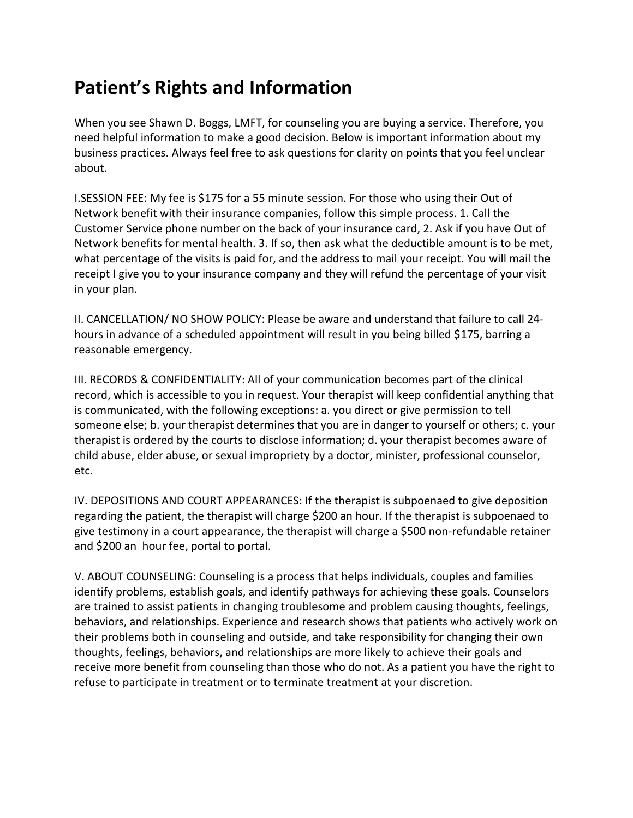## **Patient's Rights and Information**

When you see Shawn D. Boggs, LMFT, for counseling you are buying a service. Therefore, you need helpful information to make a good decision. Below is important information about my business practices. Always feel free to ask questions for clarity on points that you feel unclear about.

I.SESSION FEE: My fee is \$175 for a 55 minute session. For those who using their Out of Network benefit with their insurance companies, follow this simple process. 1. Call the Customer Service phone number on the back of your insurance card, 2. Ask if you have Out of Network benefits for mental health. 3. If so, then ask what the deductible amount is to be met, what percentage of the visits is paid for, and the address to mail your receipt. You will mail the receipt I give you to your insurance company and they will refund the percentage of your visit in your plan.

II. CANCELLATION/ NO SHOW POLICY: Please be aware and understand that failure to call 24‐ hours in advance of a scheduled appointment will result in you being billed \$175, barring a reasonable emergency.

III. RECORDS & CONFIDENTIALITY: All of your communication becomes part of the clinical record, which is accessible to you in request. Your therapist will keep confidential anything that is communicated, with the following exceptions: a. you direct or give permission to tell someone else; b. your therapist determines that you are in danger to yourself or others; c. your therapist is ordered by the courts to disclose information; d. your therapist becomes aware of child abuse, elder abuse, or sexual impropriety by a doctor, minister, professional counselor, etc.

IV. DEPOSITIONS AND COURT APPEARANCES: If the therapist is subpoenaed to give deposition regarding the patient, the therapist will charge \$200 an hour. If the therapist is subpoenaed to give testimony in a court appearance, the therapist will charge a \$500 non-refundable retainer and \$200 an hour fee, portal to portal.

V. ABOUT COUNSELING: Counseling is a process that helps individuals, couples and families identify problems, establish goals, and identify pathways for achieving these goals. Counselors are trained to assist patients in changing troublesome and problem causing thoughts, feelings, behaviors, and relationships. Experience and research shows that patients who actively work on their problems both in counseling and outside, and take responsibility for changing their own thoughts, feelings, behaviors, and relationships are more likely to achieve their goals and receive more benefit from counseling than those who do not. As a patient you have the right to refuse to participate in treatment or to terminate treatment at your discretion.